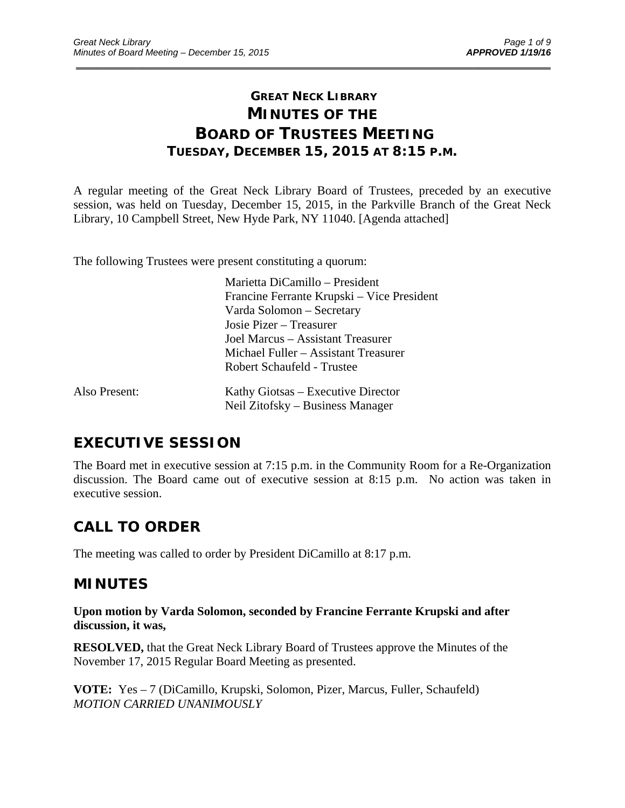### **GREAT NECK LIBRARY MINUTES OF THE BOARD OF TRUSTEES MEETING TUESDAY, DECEMBER 15, 2015 AT 8:15 P.M.**

\_\_\_\_\_\_\_\_\_\_\_\_\_\_\_\_\_\_\_\_\_\_\_\_\_\_\_\_\_\_\_\_\_\_\_\_\_\_\_\_\_\_\_\_\_\_\_\_\_\_\_\_\_\_\_\_\_\_\_\_\_\_\_\_\_\_\_\_\_\_\_\_\_\_\_\_\_\_\_\_\_\_\_\_\_\_\_\_\_\_\_\_\_

A regular meeting of the Great Neck Library Board of Trustees, preceded by an executive session, was held on Tuesday, December 15, 2015, in the Parkville Branch of the Great Neck Library, 10 Campbell Street, New Hyde Park, NY 11040. [Agenda attached]

The following Trustees were present constituting a quorum:

 Marietta DiCamillo – President Francine Ferrante Krupski – Vice President Varda Solomon – Secretary Josie Pizer – Treasurer Joel Marcus – Assistant Treasurer Michael Fuller – Assistant Treasurer Robert Schaufeld - Trustee Also Present: Kathy Giotsas – Executive Director

# Neil Zitofsky – Business Manager

## **EXECUTIVE SESSION**

The Board met in executive session at 7:15 p.m. in the Community Room for a Re-Organization discussion. The Board came out of executive session at 8:15 p.m. No action was taken in executive session.

## **CALL TO ORDER**

The meeting was called to order by President DiCamillo at 8:17 p.m.

### **MINUTES**

**Upon motion by Varda Solomon, seconded by Francine Ferrante Krupski and after discussion, it was,** 

**RESOLVED,** that the Great Neck Library Board of Trustees approve the Minutes of the November 17, 2015 Regular Board Meeting as presented.

**VOTE:** Yes – 7 (DiCamillo, Krupski, Solomon, Pizer, Marcus, Fuller, Schaufeld) *MOTION CARRIED UNANIMOUSLY*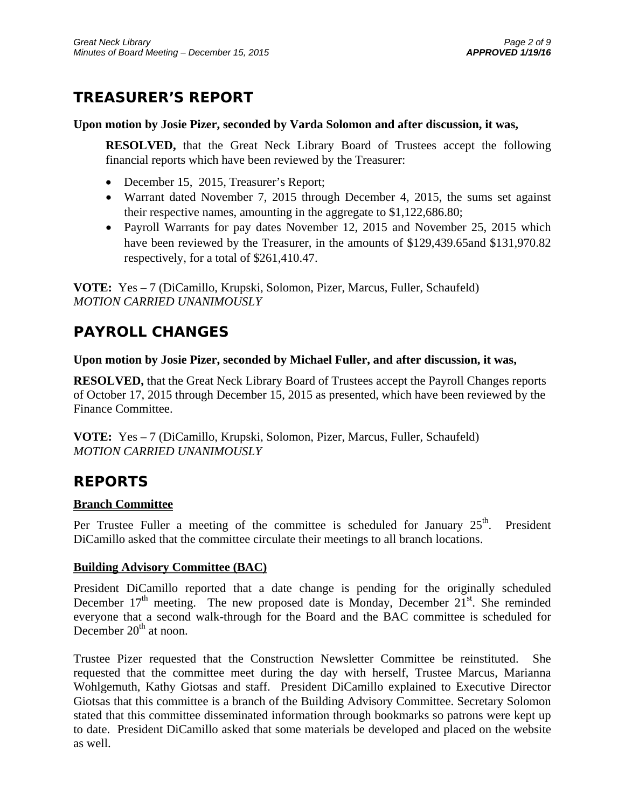## **TREASURER'S REPORT**

### **Upon motion by Josie Pizer, seconded by Varda Solomon and after discussion, it was,**

**RESOLVED,** that the Great Neck Library Board of Trustees accept the following financial reports which have been reviewed by the Treasurer:

- December 15, 2015, Treasurer's Report;
- Warrant dated November 7, 2015 through December 4, 2015, the sums set against their respective names, amounting in the aggregate to \$1,122,686.80;
- Payroll Warrants for pay dates November 12, 2015 and November 25, 2015 which have been reviewed by the Treasurer, in the amounts of \$129,439.65and \$131,970.82 respectively, for a total of \$261,410.47.

**VOTE:** Yes – 7 (DiCamillo, Krupski, Solomon, Pizer, Marcus, Fuller, Schaufeld) *MOTION CARRIED UNANIMOUSLY* 

## **PAYROLL CHANGES**

### **Upon motion by Josie Pizer, seconded by Michael Fuller, and after discussion, it was,**

**RESOLVED,** that the Great Neck Library Board of Trustees accept the Payroll Changes reports of October 17, 2015 through December 15, 2015 as presented, which have been reviewed by the Finance Committee.

**VOTE:** Yes – 7 (DiCamillo, Krupski, Solomon, Pizer, Marcus, Fuller, Schaufeld) *MOTION CARRIED UNANIMOUSLY* 

## **REPORTS**

### **Branch Committee**

Per Trustee Fuller a meeting of the committee is scheduled for January  $25<sup>th</sup>$ . President DiCamillo asked that the committee circulate their meetings to all branch locations.

### **Building Advisory Committee (BAC)**

President DiCamillo reported that a date change is pending for the originally scheduled December  $17<sup>th</sup>$  meeting. The new proposed date is Monday, December  $21<sup>st</sup>$ . She reminded everyone that a second walk-through for the Board and the BAC committee is scheduled for December  $20<sup>th</sup>$  at noon.

Trustee Pizer requested that the Construction Newsletter Committee be reinstituted. She requested that the committee meet during the day with herself, Trustee Marcus, Marianna Wohlgemuth, Kathy Giotsas and staff. President DiCamillo explained to Executive Director Giotsas that this committee is a branch of the Building Advisory Committee. Secretary Solomon stated that this committee disseminated information through bookmarks so patrons were kept up to date. President DiCamillo asked that some materials be developed and placed on the website as well.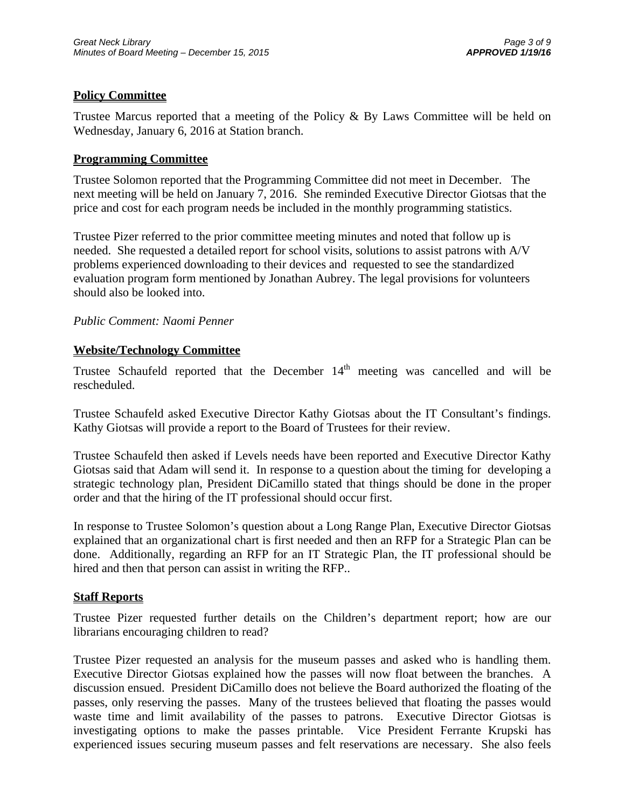### **Policy Committee**

Trustee Marcus reported that a meeting of the Policy & By Laws Committee will be held on Wednesday, January 6, 2016 at Station branch.

#### **Programming Committee**

Trustee Solomon reported that the Programming Committee did not meet in December. The next meeting will be held on January 7, 2016. She reminded Executive Director Giotsas that the price and cost for each program needs be included in the monthly programming statistics.

Trustee Pizer referred to the prior committee meeting minutes and noted that follow up is needed. She requested a detailed report for school visits, solutions to assist patrons with A/V problems experienced downloading to their devices and requested to see the standardized evaluation program form mentioned by Jonathan Aubrey. The legal provisions for volunteers should also be looked into.

#### *Public Comment: Naomi Penner*

### **Website/Technology Committee**

Trustee Schaufeld reported that the December  $14<sup>th</sup>$  meeting was cancelled and will be rescheduled.

Trustee Schaufeld asked Executive Director Kathy Giotsas about the IT Consultant's findings. Kathy Giotsas will provide a report to the Board of Trustees for their review.

Trustee Schaufeld then asked if Levels needs have been reported and Executive Director Kathy Giotsas said that Adam will send it. In response to a question about the timing for developing a strategic technology plan, President DiCamillo stated that things should be done in the proper order and that the hiring of the IT professional should occur first.

In response to Trustee Solomon's question about a Long Range Plan, Executive Director Giotsas explained that an organizational chart is first needed and then an RFP for a Strategic Plan can be done. Additionally, regarding an RFP for an IT Strategic Plan, the IT professional should be hired and then that person can assist in writing the RFP..

#### **Staff Reports**

Trustee Pizer requested further details on the Children's department report; how are our librarians encouraging children to read?

Trustee Pizer requested an analysis for the museum passes and asked who is handling them. Executive Director Giotsas explained how the passes will now float between the branches. A discussion ensued. President DiCamillo does not believe the Board authorized the floating of the passes, only reserving the passes. Many of the trustees believed that floating the passes would waste time and limit availability of the passes to patrons. Executive Director Giotsas is investigating options to make the passes printable. Vice President Ferrante Krupski has experienced issues securing museum passes and felt reservations are necessary. She also feels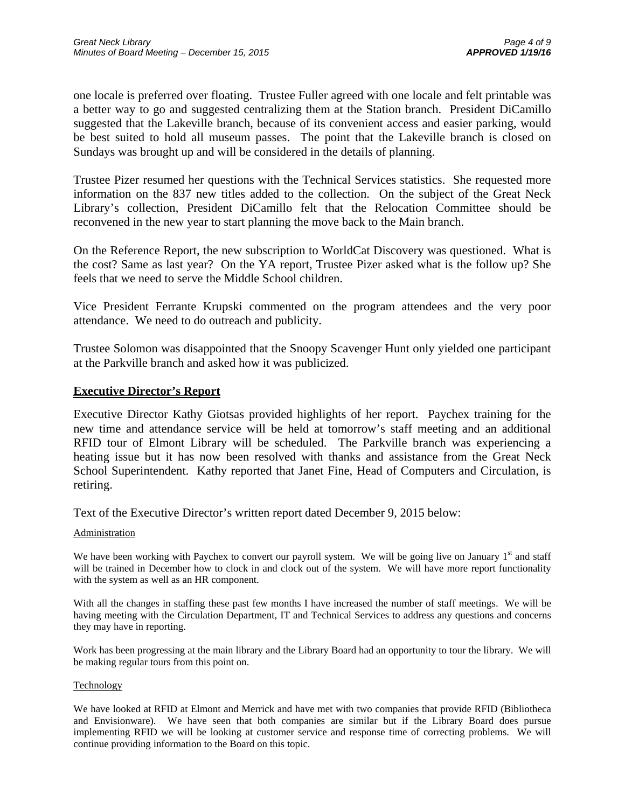one locale is preferred over floating. Trustee Fuller agreed with one locale and felt printable was a better way to go and suggested centralizing them at the Station branch. President DiCamillo suggested that the Lakeville branch, because of its convenient access and easier parking, would be best suited to hold all museum passes. The point that the Lakeville branch is closed on Sundays was brought up and will be considered in the details of planning.

Trustee Pizer resumed her questions with the Technical Services statistics. She requested more information on the 837 new titles added to the collection. On the subject of the Great Neck Library's collection, President DiCamillo felt that the Relocation Committee should be reconvened in the new year to start planning the move back to the Main branch.

On the Reference Report, the new subscription to WorldCat Discovery was questioned. What is the cost? Same as last year? On the YA report, Trustee Pizer asked what is the follow up? She feels that we need to serve the Middle School children.

Vice President Ferrante Krupski commented on the program attendees and the very poor attendance. We need to do outreach and publicity.

Trustee Solomon was disappointed that the Snoopy Scavenger Hunt only yielded one participant at the Parkville branch and asked how it was publicized.

### **Executive Director's Report**

Executive Director Kathy Giotsas provided highlights of her report. Paychex training for the new time and attendance service will be held at tomorrow's staff meeting and an additional RFID tour of Elmont Library will be scheduled. The Parkville branch was experiencing a heating issue but it has now been resolved with thanks and assistance from the Great Neck School Superintendent. Kathy reported that Janet Fine, Head of Computers and Circulation, is retiring.

Text of the Executive Director's written report dated December 9, 2015 below:

#### **Administration**

We have been working with Paychex to convert our payroll system. We will be going live on January  $1<sup>st</sup>$  and staff will be trained in December how to clock in and clock out of the system. We will have more report functionality with the system as well as an HR component.

With all the changes in staffing these past few months I have increased the number of staff meetings. We will be having meeting with the Circulation Department, IT and Technical Services to address any questions and concerns they may have in reporting.

Work has been progressing at the main library and the Library Board had an opportunity to tour the library. We will be making regular tours from this point on.

#### **Technology**

We have looked at RFID at Elmont and Merrick and have met with two companies that provide RFID (Bibliotheca and Envisionware). We have seen that both companies are similar but if the Library Board does pursue implementing RFID we will be looking at customer service and response time of correcting problems. We will continue providing information to the Board on this topic.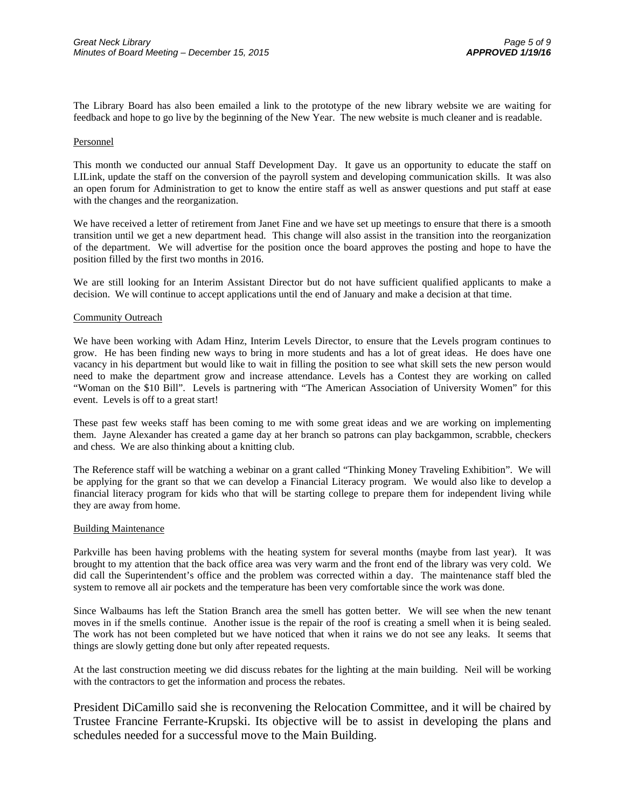The Library Board has also been emailed a link to the prototype of the new library website we are waiting for feedback and hope to go live by the beginning of the New Year. The new website is much cleaner and is readable.

#### Personnel

This month we conducted our annual Staff Development Day. It gave us an opportunity to educate the staff on LILink, update the staff on the conversion of the payroll system and developing communication skills. It was also an open forum for Administration to get to know the entire staff as well as answer questions and put staff at ease with the changes and the reorganization.

We have received a letter of retirement from Janet Fine and we have set up meetings to ensure that there is a smooth transition until we get a new department head. This change will also assist in the transition into the reorganization of the department. We will advertise for the position once the board approves the posting and hope to have the position filled by the first two months in 2016.

We are still looking for an Interim Assistant Director but do not have sufficient qualified applicants to make a decision. We will continue to accept applications until the end of January and make a decision at that time.

#### Community Outreach

We have been working with Adam Hinz, Interim Levels Director, to ensure that the Levels program continues to grow. He has been finding new ways to bring in more students and has a lot of great ideas. He does have one vacancy in his department but would like to wait in filling the position to see what skill sets the new person would need to make the department grow and increase attendance. Levels has a Contest they are working on called "Woman on the \$10 Bill". Levels is partnering with "The American Association of University Women" for this event. Levels is off to a great start!

These past few weeks staff has been coming to me with some great ideas and we are working on implementing them. Jayne Alexander has created a game day at her branch so patrons can play backgammon, scrabble, checkers and chess. We are also thinking about a knitting club.

The Reference staff will be watching a webinar on a grant called "Thinking Money Traveling Exhibition". We will be applying for the grant so that we can develop a Financial Literacy program. We would also like to develop a financial literacy program for kids who that will be starting college to prepare them for independent living while they are away from home.

#### Building Maintenance

Parkville has been having problems with the heating system for several months (maybe from last year). It was brought to my attention that the back office area was very warm and the front end of the library was very cold. We did call the Superintendent's office and the problem was corrected within a day. The maintenance staff bled the system to remove all air pockets and the temperature has been very comfortable since the work was done.

Since Walbaums has left the Station Branch area the smell has gotten better. We will see when the new tenant moves in if the smells continue. Another issue is the repair of the roof is creating a smell when it is being sealed. The work has not been completed but we have noticed that when it rains we do not see any leaks. It seems that things are slowly getting done but only after repeated requests.

At the last construction meeting we did discuss rebates for the lighting at the main building. Neil will be working with the contractors to get the information and process the rebates.

President DiCamillo said she is reconvening the Relocation Committee, and it will be chaired by Trustee Francine Ferrante-Krupski. Its objective will be to assist in developing the plans and schedules needed for a successful move to the Main Building.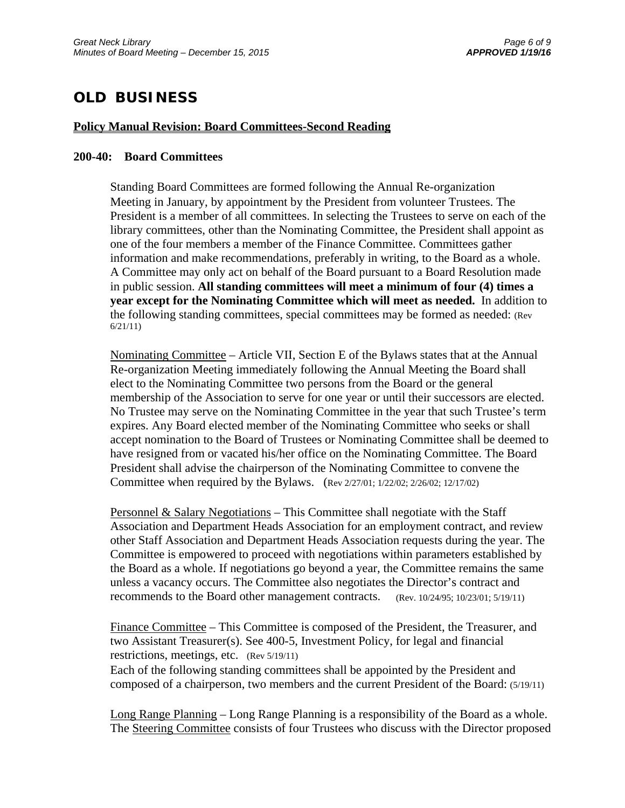## **OLD BUSINESS**

#### **Policy Manual Revision: Board Committees-Second Reading**

#### **200-40: Board Committees**

Standing Board Committees are formed following the Annual Re-organization Meeting in January, by appointment by the President from volunteer Trustees. The President is a member of all committees. In selecting the Trustees to serve on each of the library committees, other than the Nominating Committee, the President shall appoint as one of the four members a member of the Finance Committee. Committees gather information and make recommendations, preferably in writing, to the Board as a whole. A Committee may only act on behalf of the Board pursuant to a Board Resolution made in public session. **All standing committees will meet a minimum of four (4) times a year except for the Nominating Committee which will meet as needed.** In addition to the following standing committees, special committees may be formed as needed: (Rev 6/21/11)

Nominating Committee – Article VII, Section E of the Bylaws states that at the Annual Re-organization Meeting immediately following the Annual Meeting the Board shall elect to the Nominating Committee two persons from the Board or the general membership of the Association to serve for one year or until their successors are elected. No Trustee may serve on the Nominating Committee in the year that such Trustee's term expires. Any Board elected member of the Nominating Committee who seeks or shall accept nomination to the Board of Trustees or Nominating Committee shall be deemed to have resigned from or vacated his/her office on the Nominating Committee. The Board President shall advise the chairperson of the Nominating Committee to convene the Committee when required by the Bylaws. (Rev 2/27/01; 1/22/02; 2/26/02; 12/17/02)

Personnel & Salary Negotiations – This Committee shall negotiate with the Staff Association and Department Heads Association for an employment contract, and review other Staff Association and Department Heads Association requests during the year. The Committee is empowered to proceed with negotiations within parameters established by the Board as a whole. If negotiations go beyond a year, the Committee remains the same unless a vacancy occurs. The Committee also negotiates the Director's contract and recommends to the Board other management contracts. (Rev. 10/24/95; 10/23/01; 5/19/11)

Finance Committee – This Committee is composed of the President, the Treasurer, and two Assistant Treasurer(s). See 400-5, Investment Policy, for legal and financial restrictions, meetings, etc. (Rev 5/19/11)

Each of the following standing committees shall be appointed by the President and composed of a chairperson, two members and the current President of the Board: (5/19/11)

Long Range Planning – Long Range Planning is a responsibility of the Board as a whole. The Steering Committee consists of four Trustees who discuss with the Director proposed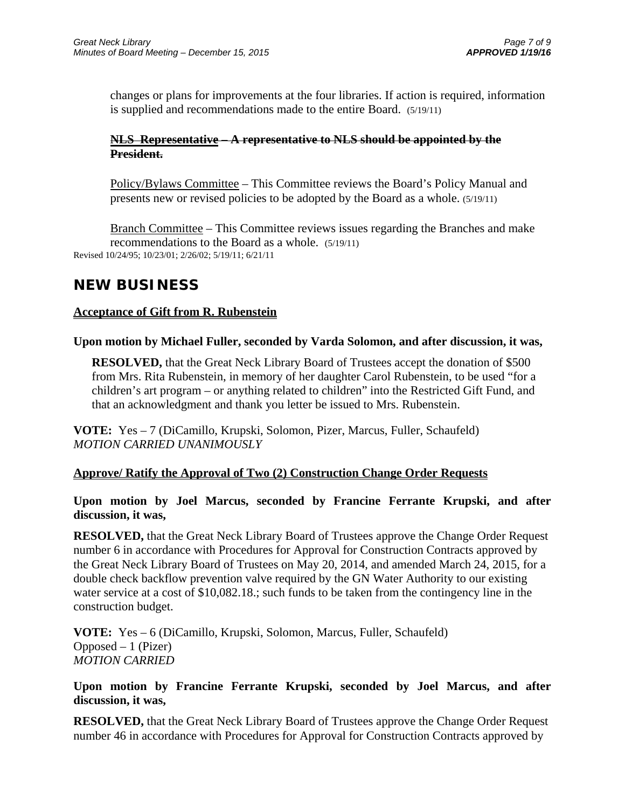changes or plans for improvements at the four libraries. If action is required, information is supplied and recommendations made to the entire Board. (5/19/11)

### **NLS Representative – A representative to NLS should be appointed by the President.**

Policy/Bylaws Committee – This Committee reviews the Board's Policy Manual and presents new or revised policies to be adopted by the Board as a whole. (5/19/11)

Branch Committee – This Committee reviews issues regarding the Branches and make recommendations to the Board as a whole. (5/19/11) Revised 10/24/95; 10/23/01; 2/26/02; 5/19/11; 6/21/11

### **NEW BUSINESS**

### **Acceptance of Gift from R. Rubenstein**

### **Upon motion by Michael Fuller, seconded by Varda Solomon, and after discussion, it was,**

**RESOLVED,** that the Great Neck Library Board of Trustees accept the donation of \$500 from Mrs. Rita Rubenstein, in memory of her daughter Carol Rubenstein, to be used "for a children's art program – or anything related to children" into the Restricted Gift Fund, and that an acknowledgment and thank you letter be issued to Mrs. Rubenstein.

**VOTE:** Yes – 7 (DiCamillo, Krupski, Solomon, Pizer, Marcus, Fuller, Schaufeld) *MOTION CARRIED UNANIMOUSLY* 

### **Approve/ Ratify the Approval of Two (2) Construction Change Order Requests**

### **Upon motion by Joel Marcus, seconded by Francine Ferrante Krupski, and after discussion, it was,**

**RESOLVED,** that the Great Neck Library Board of Trustees approve the Change Order Request number 6 in accordance with Procedures for Approval for Construction Contracts approved by the Great Neck Library Board of Trustees on May 20, 2014, and amended March 24, 2015, for a double check backflow prevention valve required by the GN Water Authority to our existing water service at a cost of \$10,082.18.; such funds to be taken from the contingency line in the construction budget.

**VOTE:** Yes – 6 (DiCamillo, Krupski, Solomon, Marcus, Fuller, Schaufeld)  $Opposed - 1$  (Pizer) *MOTION CARRIED* 

### **Upon motion by Francine Ferrante Krupski, seconded by Joel Marcus, and after discussion, it was,**

**RESOLVED,** that the Great Neck Library Board of Trustees approve the Change Order Request number 46 in accordance with Procedures for Approval for Construction Contracts approved by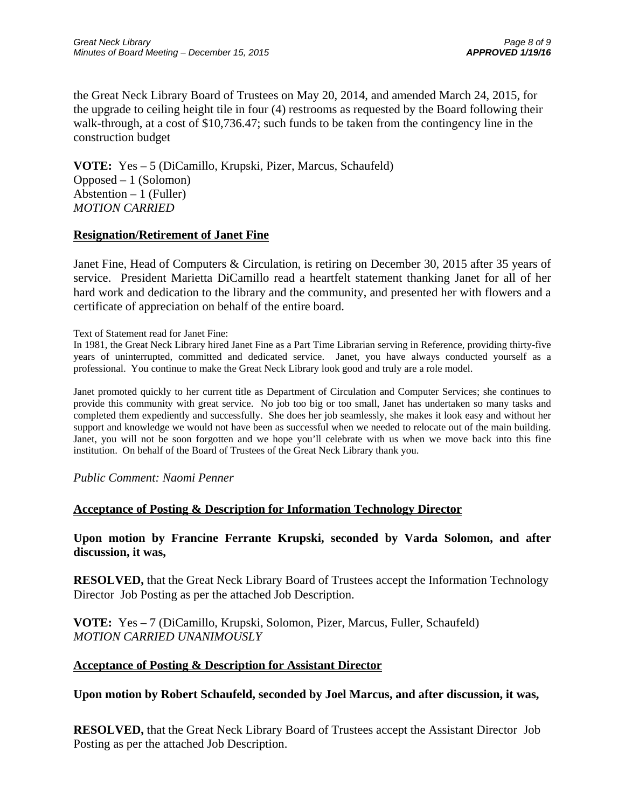the Great Neck Library Board of Trustees on May 20, 2014, and amended March 24, 2015, for the upgrade to ceiling height tile in four (4) restrooms as requested by the Board following their walk-through, at a cost of \$10,736.47; such funds to be taken from the contingency line in the construction budget

**VOTE:** Yes – 5 (DiCamillo, Krupski, Pizer, Marcus, Schaufeld) Opposed – 1 (Solomon) Abstention  $-1$  (Fuller) *MOTION CARRIED* 

### **Resignation/Retirement of Janet Fine**

Janet Fine, Head of Computers & Circulation, is retiring on December 30, 2015 after 35 years of service. President Marietta DiCamillo read a heartfelt statement thanking Janet for all of her hard work and dedication to the library and the community, and presented her with flowers and a certificate of appreciation on behalf of the entire board.

Text of Statement read for Janet Fine:

In 1981, the Great Neck Library hired Janet Fine as a Part Time Librarian serving in Reference, providing thirty-five years of uninterrupted, committed and dedicated service. Janet, you have always conducted yourself as a professional. You continue to make the Great Neck Library look good and truly are a role model.

Janet promoted quickly to her current title as Department of Circulation and Computer Services; she continues to provide this community with great service. No job too big or too small, Janet has undertaken so many tasks and completed them expediently and successfully. She does her job seamlessly, she makes it look easy and without her support and knowledge we would not have been as successful when we needed to relocate out of the main building. Janet, you will not be soon forgotten and we hope you'll celebrate with us when we move back into this fine institution. On behalf of the Board of Trustees of the Great Neck Library thank you.

*Public Comment: Naomi Penner*

### **Acceptance of Posting & Description for Information Technology Director**

**Upon motion by Francine Ferrante Krupski, seconded by Varda Solomon, and after discussion, it was,** 

**RESOLVED,** that the Great Neck Library Board of Trustees accept the Information Technology Director Job Posting as per the attached Job Description.

**VOTE:** Yes – 7 (DiCamillo, Krupski, Solomon, Pizer, Marcus, Fuller, Schaufeld) *MOTION CARRIED UNANIMOUSLY* 

#### **Acceptance of Posting & Description for Assistant Director**

### **Upon motion by Robert Schaufeld, seconded by Joel Marcus, and after discussion, it was,**

**RESOLVED,** that the Great Neck Library Board of Trustees accept the Assistant Director Job Posting as per the attached Job Description.